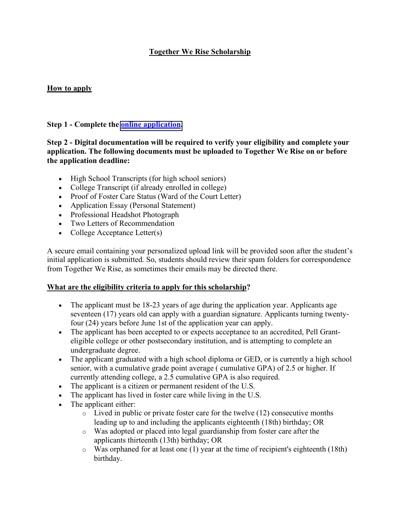# **Together We Rise Scholarship**

## **How to apply**

#### **Step 1 - Complete the [online application.](https://www.togetherwerise.org/family-fellowship/scholarship-application/)**

## **Step 2 - Digital documentation will be required to verify your eligibility and complete your application. The following documents must be uploaded to Together We Rise on or before the application deadline:**

- High School Transcripts (for high school seniors)
- College Transcript (if already enrolled in college)
- Proof of Foster Care Status (Ward of the Court Letter)
- Application Essay (Personal Statement)
- Professional Headshot Photograph
- Two Letters of Recommendation
- College Acceptance Letter(s)

A secure email containing your personalized upload link will be provided soon after the student's initial application is submitted. So, students should review their spam folders for correspondence from Together We Rise, as sometimes their emails may be directed there.

## **What are the eligibility criteria to apply for this scholarship?**

- The applicant must be 18-23 years of age during the application year. Applicants age seventeen (17) years old can apply with a guardian signature. Applicants turning twentyfour (24) years before June 1st of the application year can apply.
- The applicant has been accepted to or expects acceptance to an accredited, Pell Granteligible college or other postsecondary institution, and is attempting to complete an undergraduate degree.
- The applicant graduated with a high school diploma or GED, or is currently a high school senior, with a cumulative grade point average ( cumulative GPA) of 2.5 or higher. If currently attending college, a 2.5 cumulative GPA is also required.
- The applicant is a citizen or permanent resident of the U.S.
- The applicant has lived in foster care while living in the U.S.
- The applicant either:
	- $\circ$  Lived in public or private foster care for the twelve (12) consecutive months leading up to and including the applicants eighteenth (18th) birthday; OR
	- o Was adopted or placed into legal guardianship from foster care after the applicants thirteenth (13th) birthday; OR
	- o Was orphaned for at least one (1) year at the time of recipient's eighteenth (18th) birthday.